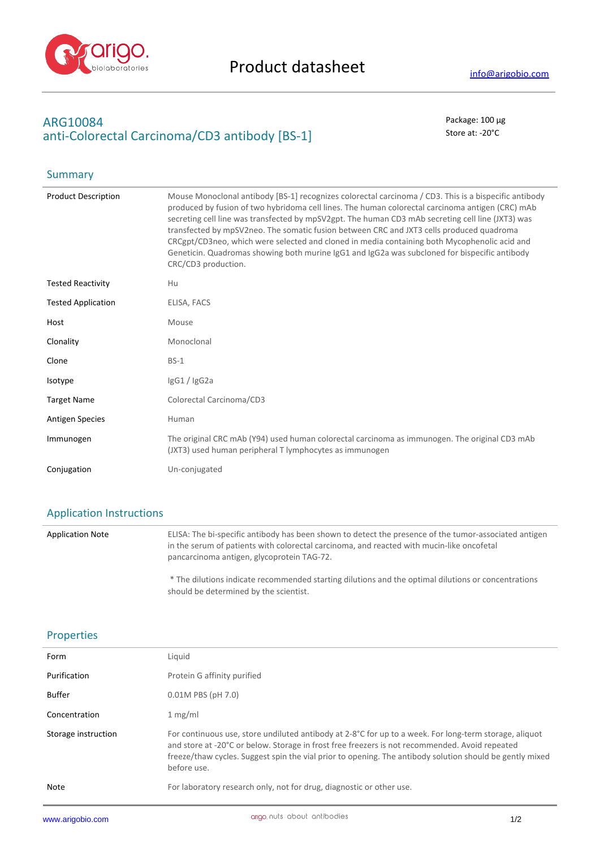

Summary

# **ARG10084** Package: 100 μg anti-Colorectal Carcinoma/CD3 antibody [BS-1] Store at: -20<sup>°</sup>C

| <b>Product Description</b> | Mouse Monoclonal antibody [BS-1] recognizes colorectal carcinoma / CD3. This is a bispecific antibody<br>produced by fusion of two hybridoma cell lines. The human colorectal carcinoma antigen (CRC) mAb<br>secreting cell line was transfected by mpSV2gpt. The human CD3 mAb secreting cell line (JXT3) was<br>transfected by mpSV2neo. The somatic fusion between CRC and JXT3 cells produced quadroma<br>CRCgpt/CD3neo, which were selected and cloned in media containing both Mycophenolic acid and<br>Geneticin. Quadromas showing both murine IgG1 and IgG2a was subcloned for bispecific antibody<br>CRC/CD3 production. |
|----------------------------|------------------------------------------------------------------------------------------------------------------------------------------------------------------------------------------------------------------------------------------------------------------------------------------------------------------------------------------------------------------------------------------------------------------------------------------------------------------------------------------------------------------------------------------------------------------------------------------------------------------------------------|
| <b>Tested Reactivity</b>   | Hu                                                                                                                                                                                                                                                                                                                                                                                                                                                                                                                                                                                                                                 |
| <b>Tested Application</b>  | ELISA, FACS                                                                                                                                                                                                                                                                                                                                                                                                                                                                                                                                                                                                                        |
| Host                       | Mouse                                                                                                                                                                                                                                                                                                                                                                                                                                                                                                                                                                                                                              |
| Clonality                  | Monoclonal                                                                                                                                                                                                                                                                                                                                                                                                                                                                                                                                                                                                                         |
| Clone                      | $BS-1$                                                                                                                                                                                                                                                                                                                                                                                                                                                                                                                                                                                                                             |
| Isotype                    | IgG1 / IgG2a                                                                                                                                                                                                                                                                                                                                                                                                                                                                                                                                                                                                                       |
| <b>Target Name</b>         | Colorectal Carcinoma/CD3                                                                                                                                                                                                                                                                                                                                                                                                                                                                                                                                                                                                           |
| <b>Antigen Species</b>     | Human                                                                                                                                                                                                                                                                                                                                                                                                                                                                                                                                                                                                                              |
| Immunogen                  | The original CRC mAb (Y94) used human colorectal carcinoma as immunogen. The original CD3 mAb<br>(JXT3) used human peripheral T lymphocytes as immunogen                                                                                                                                                                                                                                                                                                                                                                                                                                                                           |
| Conjugation                | Un-conjugated                                                                                                                                                                                                                                                                                                                                                                                                                                                                                                                                                                                                                      |

## Application Instructions

Application Note ELISA: The bi-specific antibody has been shown to detect the presence of the tumor-associated antigen in the serum of patients with colorectal carcinoma, and reacted with mucin-like oncofetal pancarcinoma antigen, glycoprotein TAG-72. \* The dilutions indicate recommended starting dilutions and the optimal dilutions or concentrations should be determined by the scientist.

## Properties

| Form                | Liguid                                                                                                                                                                                                                                                                                                                              |
|---------------------|-------------------------------------------------------------------------------------------------------------------------------------------------------------------------------------------------------------------------------------------------------------------------------------------------------------------------------------|
| Purification        | Protein G affinity purified                                                                                                                                                                                                                                                                                                         |
| <b>Buffer</b>       | $0.01M$ PBS (pH 7.0)                                                                                                                                                                                                                                                                                                                |
| Concentration       | 1 mg/ml                                                                                                                                                                                                                                                                                                                             |
| Storage instruction | For continuous use, store undiluted antibody at 2-8°C for up to a week. For long-term storage, aliquot<br>and store at -20°C or below. Storage in frost free freezers is not recommended. Avoid repeated<br>freeze/thaw cycles. Suggest spin the vial prior to opening. The antibody solution should be gently mixed<br>before use. |
| Note                | For laboratory research only, not for drug, diagnostic or other use.                                                                                                                                                                                                                                                                |